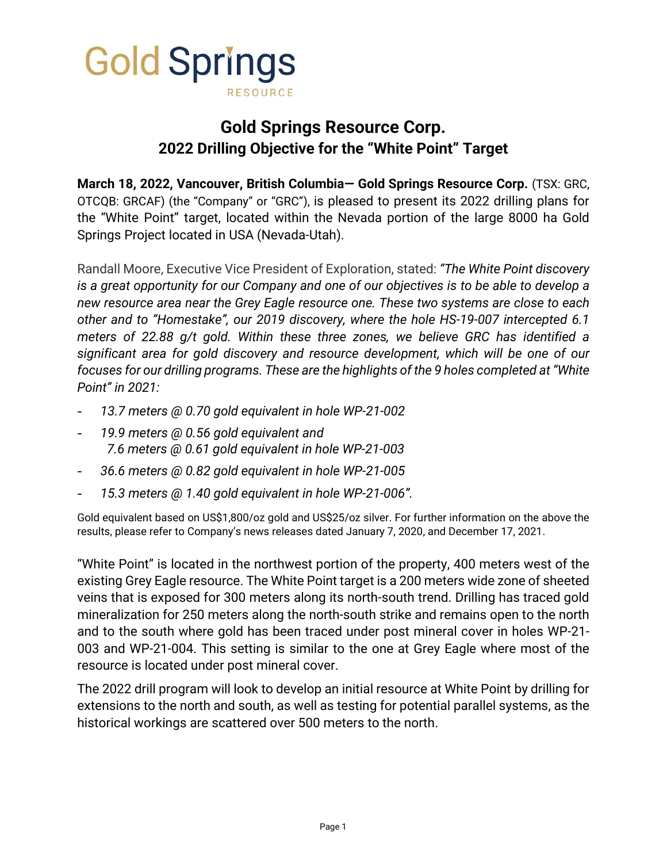

# **Gold Springs Resource Corp. 2022 Drilling Objective for the "White Point" Target**

**March 18, 2022, Vancouver, British Columbia— Gold Springs Resource Corp.** (TSX: GRC, OTCQB: GRCAF) (the "Company" or "GRC"), is pleased to present its 2022 drilling plans for the "White Point" target, located within the Nevada portion of the large 8000 ha Gold Springs Project located in USA (Nevada-Utah).

Randall Moore, Executive Vice President of Exploration, stated: *"The White Point discovery is a great opportunity for our Company and one of our objectives is to be able to develop a new resource area near the Grey Eagle resource one. These two systems are close to each other and to "Homestake", our 2019 discovery, where the hole HS-19-007 intercepted 6.1 meters of 22.88 g/t gold. Within these three zones, we believe GRC has identified a significant area for gold discovery and resource development, which will be one of our focuses for our drilling programs. These are the highlights of the 9 holes completed at "White Point" in 2021:*

- *13.7 meters @ 0.70 gold equivalent in hole WP-21-002*
- *19.9 meters @ 0.56 gold equivalent and 7.6 meters @ 0.61 gold equivalent in hole WP-21-003*
- *36.6 meters @ 0.82 gold equivalent in hole WP-21-005*
- *15.3 meters @ 1.40 gold equivalent in hole WP-21-006".*

Gold equivalent based on US\$1,800/oz gold and US\$25/oz silver. For further information on the above the results, please refer to Company's news releases dated January 7, 2020, and December 17, 2021.

"White Point" is located in the northwest portion of the property, 400 meters west of the existing Grey Eagle resource. The White Point target is a 200 meters wide zone of sheeted veins that is exposed for 300 meters along its north-south trend. Drilling has traced gold mineralization for 250 meters along the north-south strike and remains open to the north and to the south where gold has been traced under post mineral cover in holes WP-21- 003 and WP-21-004. This setting is similar to the one at Grey Eagle where most of the resource is located under post mineral cover.

The 2022 drill program will look to develop an initial resource at White Point by drilling for extensions to the north and south, as well as testing for potential parallel systems, as the historical workings are scattered over 500 meters to the north.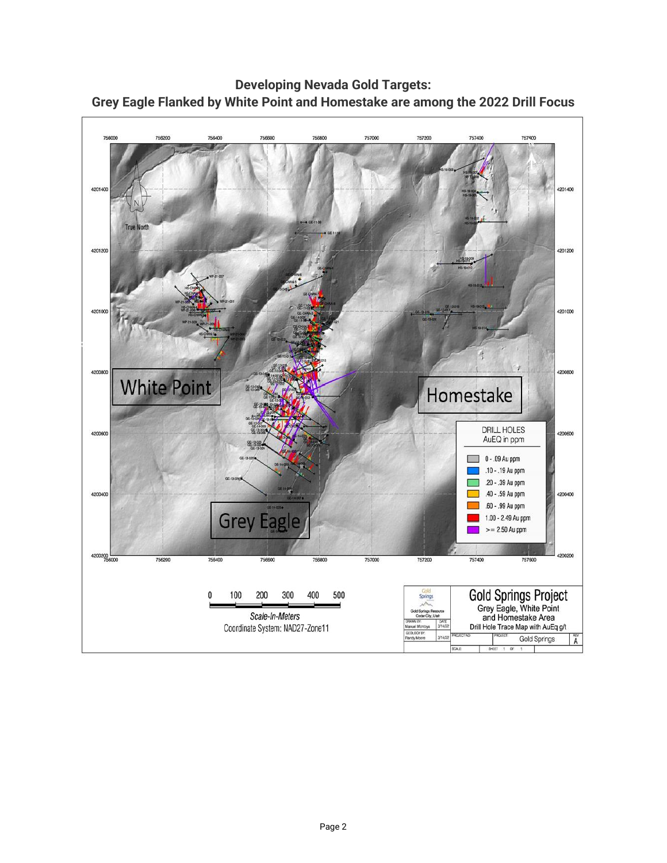

**Developing Nevada Gold Targets: Grey Eagle Flanked by White Point and Homestake are among the 2022 Drill Focus**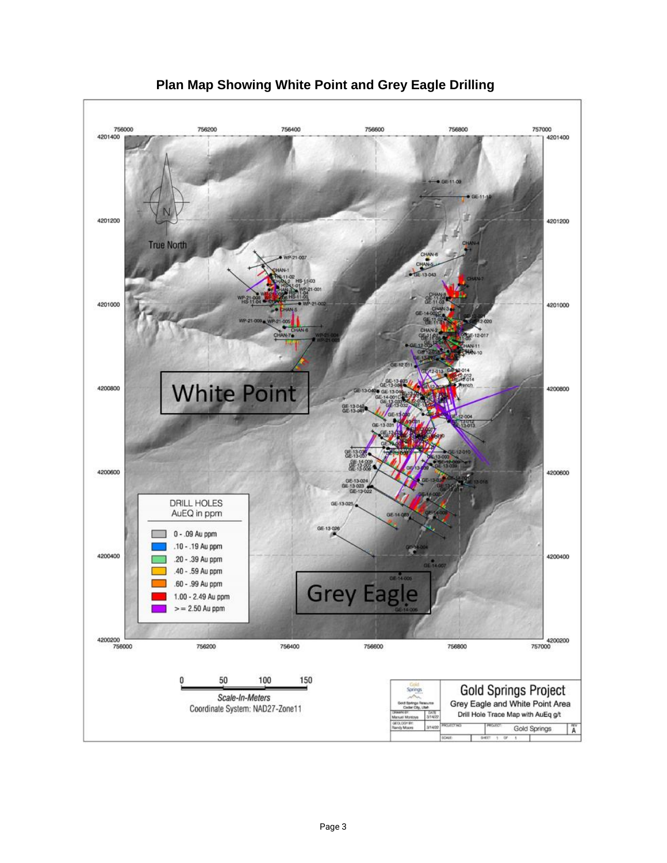

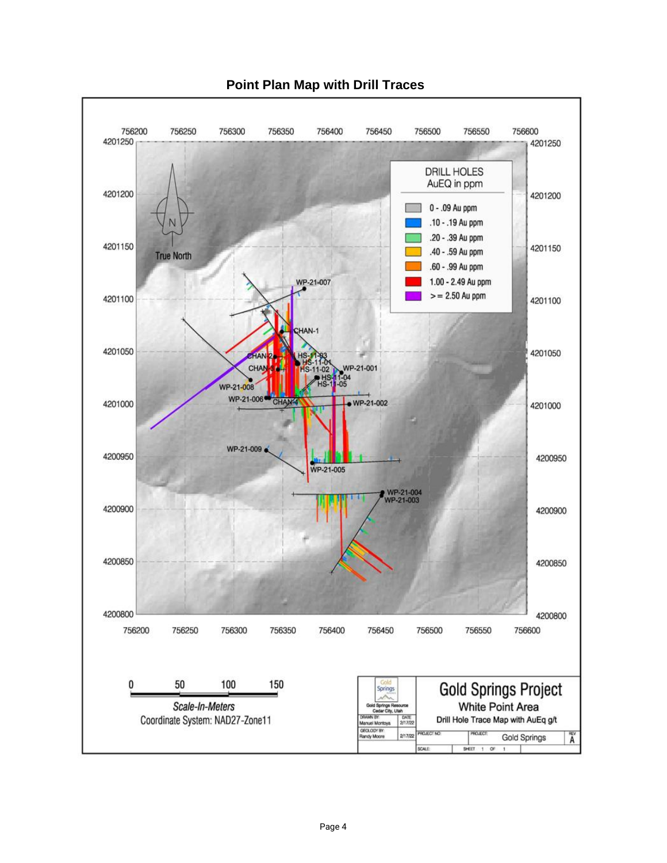

## **Point Plan Map with Drill Traces**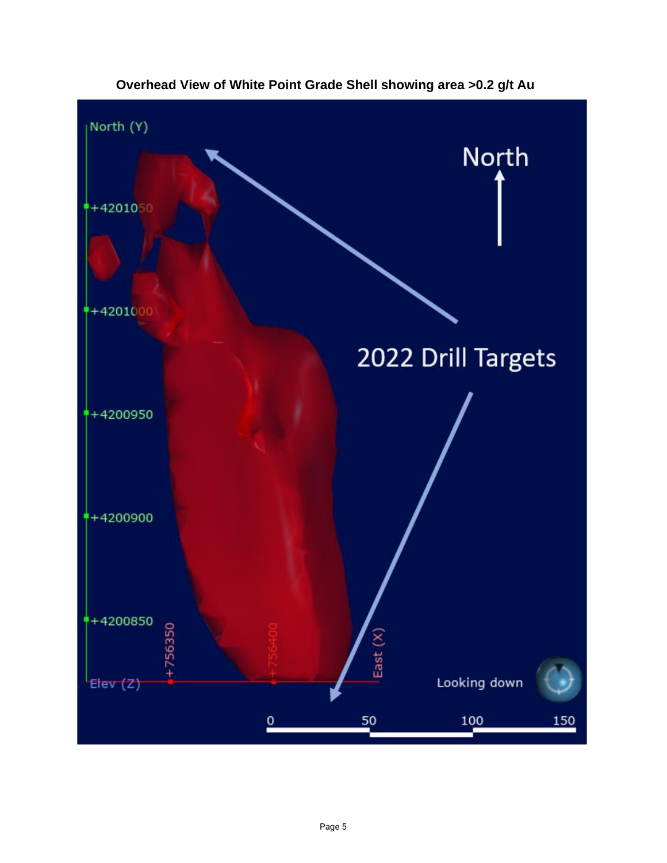

**Overhead View of White Point Grade Shell showing area >0.2 g/t Au**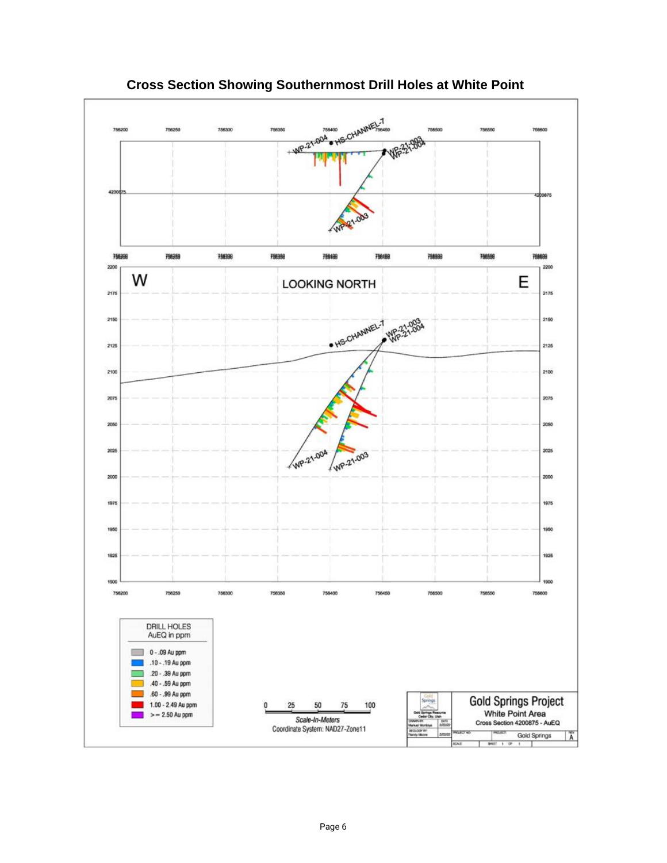

**Cross Section Showing Southernmost Drill Holes at White Point**